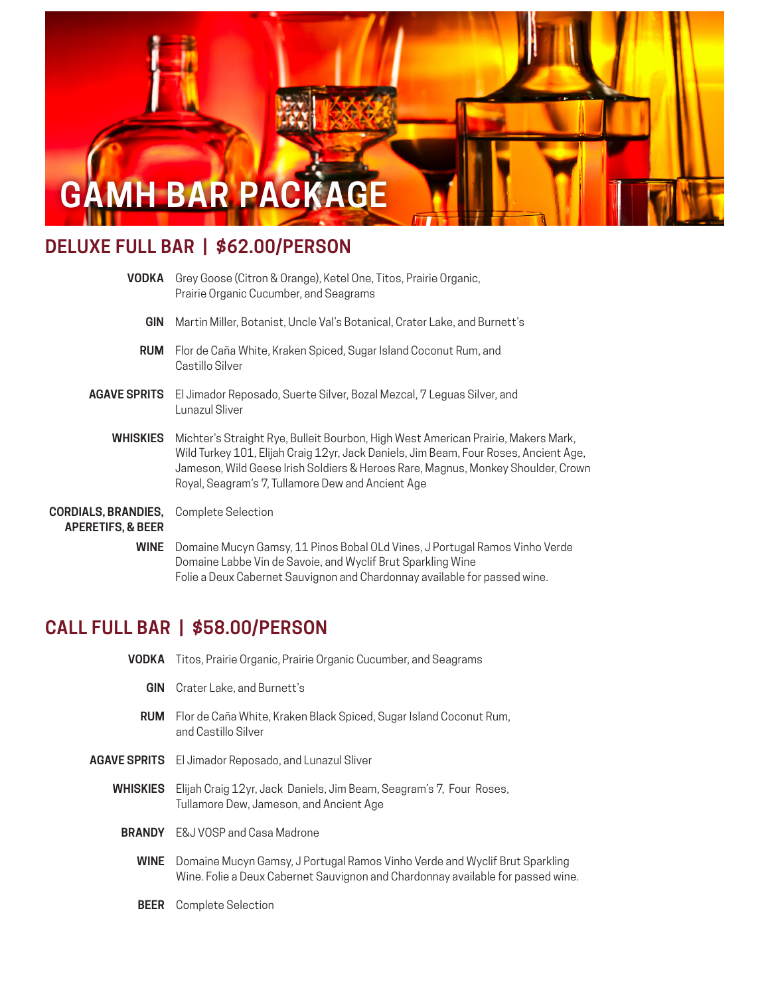

# **DELUXE FULL BAR | \$62.00/PERSON**

| <b>VODKA</b>                                                                  | Grey Goose (Citron & Orange), Ketel One, Titos, Prairie Organic,<br>Prairie Organic Cucumber, and Seagrams                                                                                                                                                                                                         |
|-------------------------------------------------------------------------------|--------------------------------------------------------------------------------------------------------------------------------------------------------------------------------------------------------------------------------------------------------------------------------------------------------------------|
| <b>GIN</b>                                                                    | Martin Miller, Botanist, Uncle Val's Botanical, Crater Lake, and Burnett's                                                                                                                                                                                                                                         |
| <b>RUM</b>                                                                    | Flor de Caña White, Kraken Spiced, Sugar Island Coconut Rum, and<br>Castillo Silver                                                                                                                                                                                                                                |
| <b>AGAVE SPRITS</b>                                                           | El Jimador Reposado, Suerte Silver, Bozal Mezcal, 7 Leguas Silver, and<br>Lunazul Sliver                                                                                                                                                                                                                           |
| <b>WHISKIES</b>                                                               | Michter's Straight Rye, Bulleit Bourbon, High West American Prairie, Makers Mark,<br>Wild Turkey 101, Elijah Craig 12yr, Jack Daniels, Jim Beam, Four Roses, Ancient Age,<br>Jameson, Wild Geese Irish Soldiers & Heroes Rare, Magnus, Monkey Shoulder, Crown<br>Royal, Seagram's 7, Tullamore Dew and Ancient Age |
| <b>CORDIALS, BRANDIES, Complete Selection</b><br><b>APERETIFS, &amp; BEER</b> |                                                                                                                                                                                                                                                                                                                    |
| WINE                                                                          | Domaine Mucyn Gamsy, 11 Pinos Bobal OLd Vines, J Portugal Ramos Vinho Verde<br>Domaine Labbe Vin de Savoie, and Wyclif Brut Sparkling Wine                                                                                                                                                                         |

Folie a Deux Cabernet Sauvignon and Chardonnay available for passed wine.

## **CALL FULL BAR | \$58.00/PERSON**

| VODKA         | Titos, Prairie Organic, Prairie Organic Cucumber, and Seagrams                                                                                                 |
|---------------|----------------------------------------------------------------------------------------------------------------------------------------------------------------|
| <b>GIN</b>    | Crater Lake, and Burnett's                                                                                                                                     |
| <b>RUM</b>    | Flor de Caña White, Kraken Black Spiced, Sugar Island Coconut Rum,<br>and Castillo Silver                                                                      |
|               | <b>AGAVE SPRITS</b> El Jimador Reposado, and Lunazul Sliver                                                                                                    |
|               | <b>WHISKIES</b> Elijah Craig 12yr, Jack Daniels, Jim Beam, Seagram's 7, Four Roses,<br>Tullamore Dew, Jameson, and Ancient Age                                 |
| <b>BRANDY</b> | E&J VOSP and Casa Madrone                                                                                                                                      |
| <b>WINE</b>   | Domaine Mucyn Gamsy, J Portugal Ramos Vinho Verde and Wyclif Brut Sparkling<br>Wine. Folie a Deux Cabernet Sauvignon and Chardonnay available for passed wine. |
| <b>BEER</b>   | Complete Selection                                                                                                                                             |